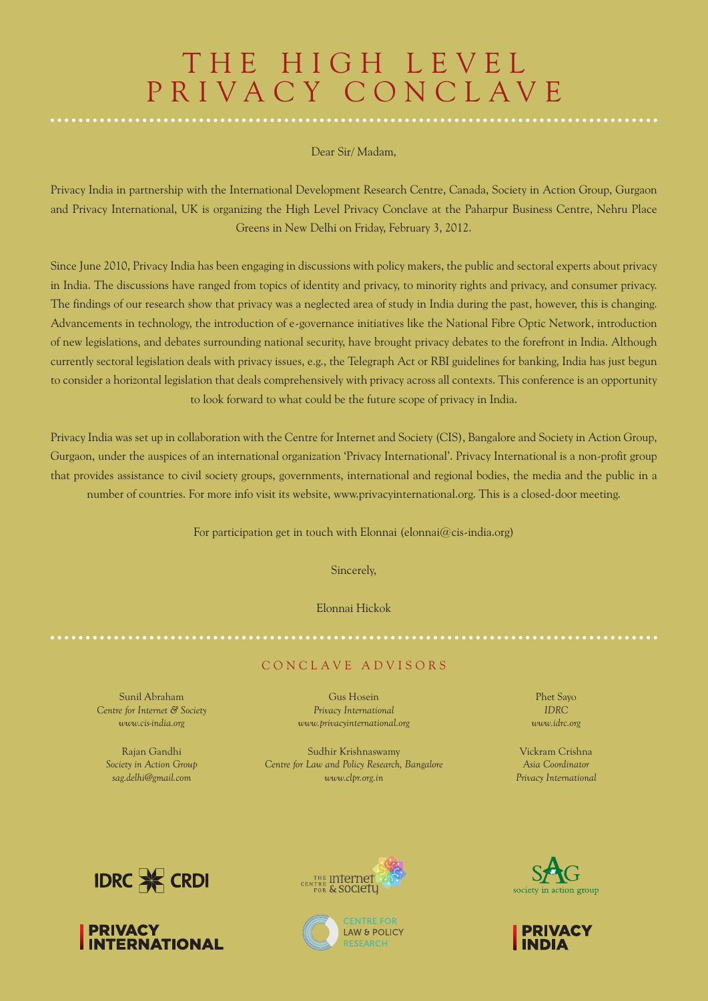# THE HIGH LEVEL PRIVACY CONCLAVE

#### Dear Sir/ Madam,

Privacy India in partnership with the International Development Research Centre, Canada, Society in Action Group, Gurgaon and Privacy International, UK is organizing the High Level Privacy Conclave at the Paharpur Business Centre, Nehru Place Greens in New Delhi on Friday, February 3, 2012.

Since June 2010, Privacy India has been engaging in discussions with policy makers, the public and sectoral experts about privacy in India. The discussions have ranged from topics of identity and privacy, to minority rights and privacy, and consumer privacy. The findings of our research show that privacy was a neglected area of study in India during the past, however, this is changing. Advancements in technology, the introduction of e-governance initiatives like the National Fibre Optic Network, introduction of new legislations, and debates surrounding national security, have brought privacy debates to the forefront in India. Although currently sectoral legislation deals with privacy issues, e.g., the Telegraph Act or RBI guidelines for banking, India has just begun to consider a horizontal legislation that deals comprehensively with privacy across all contexts. This conference is an opportunity to look forward to what could be the future scope of privacy in India.

Privacy India was set up in collaboration with the Centre for Internet and Society (CIS), Bangalore and Society in Action Group, Gurgaon, under the auspices of an international organization 'Privacy International'. Privacy International is a non-profit group that provides assistance to civil society groups, governments, international and regional bodies, the media and the public in a number of countries. For more info visit its website, www.privacyinternational.org. This is a closed-door meeting.

For participation get in touch with Elonnai (elonnai@cis-india.org)

Sincerely,

Elonnai Hickok

#### C oncla v e A d v isors

Sunil Abraham *Centre for Internet & Society www.cis-india.org*

Rajan Gandhi *Society in Action Group sag.delhi@gmail.com*

Gus Hosein *Privacy International www.privacyinternational.org*

Sudhir Krishnaswamy *Centre for Law and Policy Research, Bangalore www.clpr.org.in*

Phet Sayo *IDRC www.idrc.org*

Vickram Crishna *Asia Coordinator Privacy International*











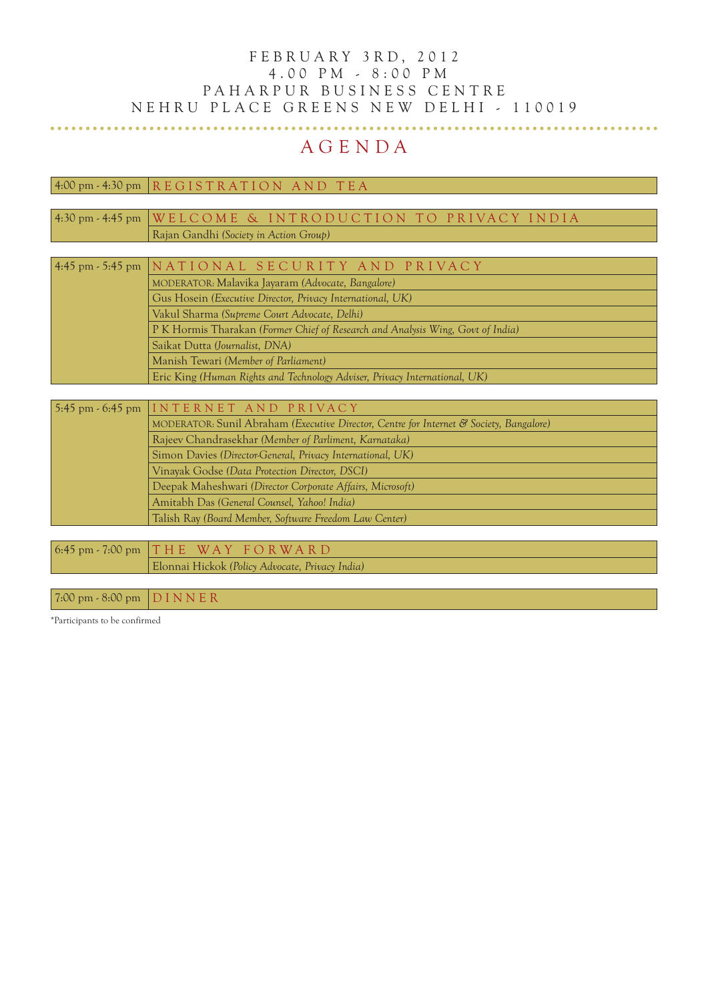### F E B R U A R Y 3 R D, 2 0 1 2 4 . 0 0 pm - 8 : 0 0 pm PAHARPUR BUSINESS CENTRE NEHRU PLACE GREENS NEW DELHI - 110019

## A G E N D A

 $4:00 \text{ pm} \cdot 4:30 \text{ pm}$  REGISTRATION AND TEA

| 4:30 pm - 4:45 pm   WELCOME & INTRODUCTION TO PRIVACY INDIA                     |
|---------------------------------------------------------------------------------|
| Rajan Gandhi (Society in Action Group)                                          |
|                                                                                 |
| 4:45 pm - 5:45 pm NATIONAL SECURITY AND PRIVACY                                 |
| MODERATOR: Malavika Jayaram (Advocate, Bangalore)                               |
| Gus Hosein (Executive Director, Privacy International, UK)                      |
| Vakul Sharma (Supreme Court Advocate, Delhi)                                    |
| P K Hormis Tharakan (Former Chief of Research and Analysis Wing, Govt of India) |
| Saikat Dutta (Journalist, DNA)                                                  |
| Manish Tewari (Member of Parliament)                                            |

Eric King *(Human Rights and Technology Adviser, Privacy International, UK)*

| 5:45 pm $\cdot$ 6:45 pm INTERNET AND PRIVACY                                            |
|-----------------------------------------------------------------------------------------|
| MODERATOR: Sunil Abraham (Executive Director, Centre for Internet & Society, Bangalore) |
| Rajeev Chandrasekhar (Member of Parliment, Karnataka)                                   |
| Simon Davies (Director-General, Privacy International, UK)                              |
| Vinayak Godse (Data Protection Director, DSCI)                                          |
| Deepak Maheshwari (Director Corporate Affairs, Microsoft)                               |
| Amitabh Das (General Counsel, Yahoo! India)                                             |
| Talish Ray (Board Member, Software Freedom Law Center)                                  |
|                                                                                         |
| $6:45$ pm $-7:00$ pm $THE$ WAY FORWARD                                                  |
| Elonnai Hickok (Policy Advocate, Privacy India)                                         |

 $7:00 \text{ pm} \cdot 8:00 \text{ pm } \text{D} \text{I} \text{N} \text{N} \text{E} \text{R}$ 

\*Participants to be confirmed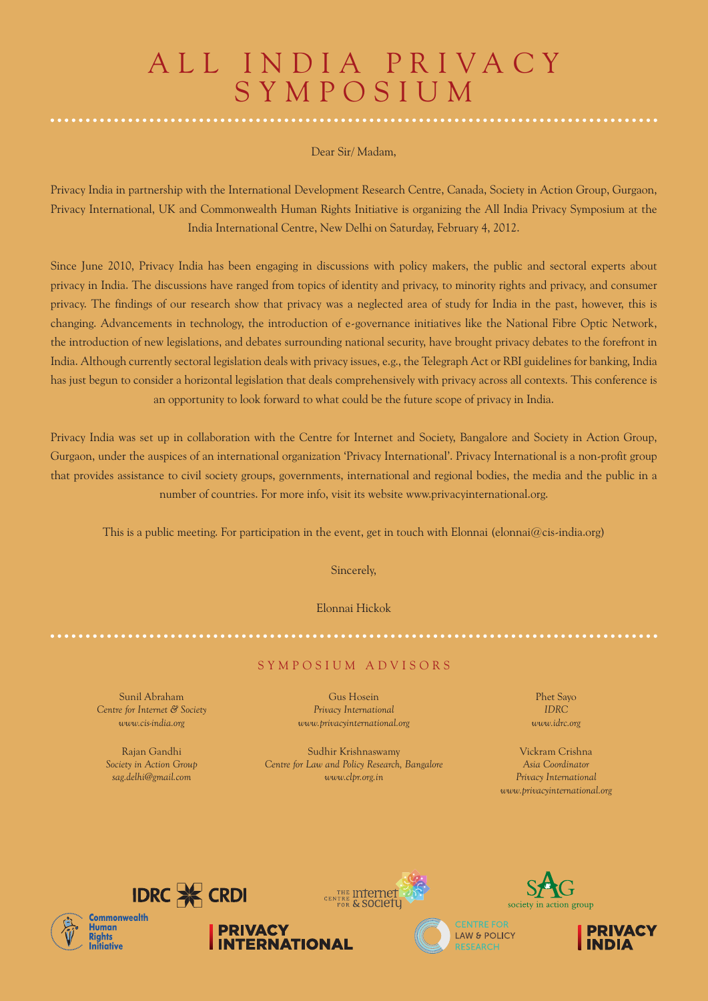# ALL INDIA PRIVACY **SYMPOSIUM**

#### Dear Sir/ Madam,

Privacy India in partnership with the International Development Research Centre, Canada, Society in Action Group, Gurgaon, Privacy International, UK and Commonwealth Human Rights Initiative is organizing the All India Privacy Symposium at the India International Centre, New Delhi on Saturday, February 4, 2012.

Since June 2010, Privacy India has been engaging in discussions with policy makers, the public and sectoral experts about privacy in India. The discussions have ranged from topics of identity and privacy, to minority rights and privacy, and consumer privacy. The findings of our research show that privacy was a neglected area of study for India in the past, however, this is changing. Advancements in technology, the introduction of e-governance initiatives like the National Fibre Optic Network, the introduction of new legislations, and debates surrounding national security, have brought privacy debates to the forefront in India. Although currently sectoral legislation deals with privacy issues, e.g., the Telegraph Act or RBI guidelines for banking, India has just begun to consider a horizontal legislation that deals comprehensively with privacy across all contexts. This conference is an opportunity to look forward to what could be the future scope of privacy in India.

Privacy India was set up in collaboration with the Centre for Internet and Society, Bangalore and Society in Action Group, Gurgaon, under the auspices of an international organization 'Privacy International'. Privacy International is a non-profit group that provides assistance to civil society groups, governments, international and regional bodies, the media and the public in a number of countries. For more info, visit its website www.privacyinternational.org.

This is a public meeting. For participation in the event, get in touch with Elonnai (elonnai@cis-india.org)

Sincerely,

Elonnai Hickok

#### S y mposium A d v isors

Sunil Abraham *Centre for Internet & Society www.cis-india.org*

Rajan Gandhi *Society in Action Group sag.delhi@gmail.com*

Gus Hosein *Privacy International www.privacyinternational.org*

Sudhir Krishnaswamy *Centre for Law and Policy Research, Bangalore www.clpr.org.in*

Phet Sayo *IDRC www.idrc.org*

Vickram Crishna *Asia Coordinator Privacy International www.privacyinternational.org*







**PRIVACY** 

**INTERNATIONAL**